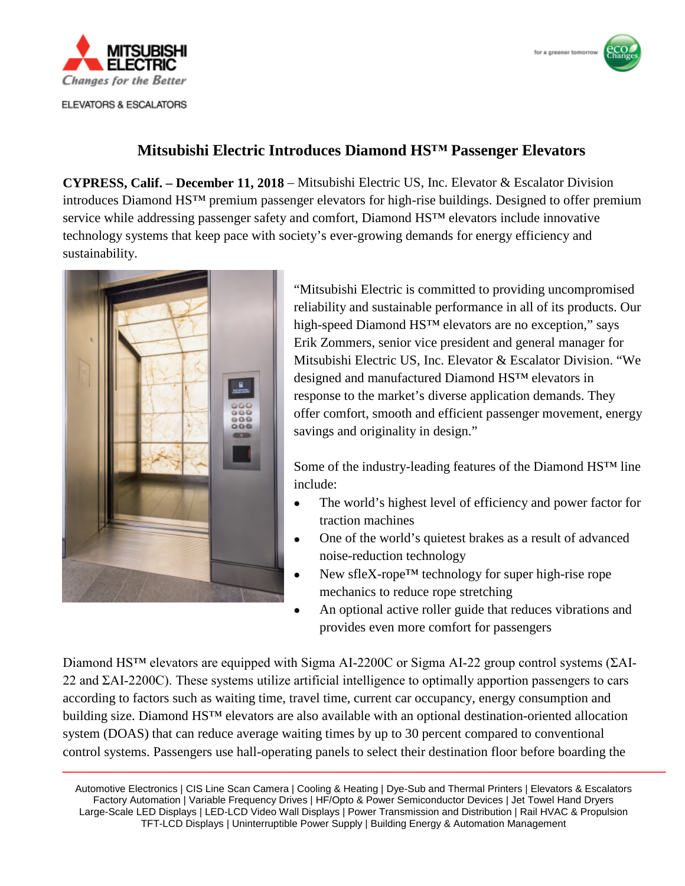



## **Mitsubishi Electric Introduces Diamond HS™ Passenger Elevators**

**CYPRESS, Calif. – December 11, 2018** – Mitsubishi Electric US, Inc. Elevator & Escalator Division introduces Diamond HS™ premium passenger elevators for high-rise buildings. Designed to offer premium service while addressing passenger safety and comfort, Diamond HS™ elevators include innovative technology systems that keep pace with society's ever-growing demands for energy efficiency and sustainability.



"Mitsubishi Electric is committed to providing uncompromised reliability and sustainable performance in all of its products. Our high-speed Diamond HS™ elevators are no exception," says Erik Zommers, senior vice president and general manager for Mitsubishi Electric US, Inc. Elevator & Escalator Division. "We designed and manufactured Diamond HS™ elevators in response to the market's diverse application demands. They offer comfort, smooth and efficient passenger movement, energy savings and originality in design."

Some of the industry-leading features of the Diamond HS™ line include:

- The world's highest level of efficiency and power factor for traction machines
- One of the world's quietest brakes as a result of advanced noise-reduction technology
- New sfleX-rope<sup>TM</sup> technology for super high-rise rope mechanics to reduce rope stretching
- An optional active roller guide that reduces vibrations and provides even more comfort for passengers

Diamond HS™ elevators are equipped with Sigma AI-2200C or Sigma AI-22 group control systems (ΣAI-22 and ΣAI-2200C). These systems utilize artificial intelligence to optimally apportion passengers to cars according to factors such as waiting time, travel time, current car occupancy, energy consumption and building size. Diamond HS™ elevators are also available with an optional destination-oriented allocation system (DOAS) that can reduce average waiting times by up to 30 percent compared to conventional control systems. Passengers use hall-operating panels to select their destination floor before boarding the

Automotive Electronics | CIS Line Scan Camera | Cooling & Heating | Dye-Sub and Thermal Printers | Elevators & Escalators Factory Automation | Variable Frequency Drives | HF/Opto & Power Semiconductor Devices | Jet Towel Hand Dryers Large-Scale LED Displays | LED-LCD Video Wall Displays | Power Transmission and Distribution | Rail HVAC & Propulsion TFT-LCD Displays | Uninterruptible Power Supply | Building Energy & Automation Management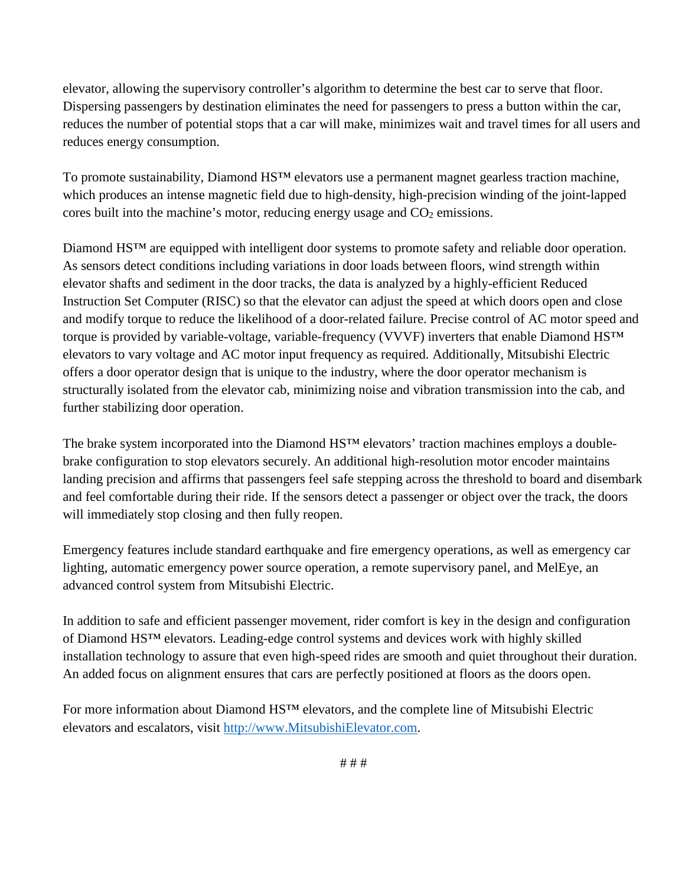elevator, allowing the supervisory controller's algorithm to determine the best car to serve that floor. Dispersing passengers by destination eliminates the need for passengers to press a button within the car, reduces the number of potential stops that a car will make, minimizes wait and travel times for all users and reduces energy consumption.

To promote sustainability, Diamond HS<sup>™</sup> elevators use a permanent magnet gearless traction machine, which produces an intense magnetic field due to high-density, high-precision winding of the joint-lapped cores built into the machine's motor, reducing energy usage and  $CO<sub>2</sub>$  emissions.

Diamond HS™ are equipped with intelligent door systems to promote safety and reliable door operation. As sensors detect conditions including variations in door loads between floors, wind strength within elevator shafts and sediment in the door tracks, the data is analyzed by a highly-efficient Reduced Instruction Set Computer (RISC) so that the elevator can adjust the speed at which doors open and close and modify torque to reduce the likelihood of a door-related failure. Precise control of AC motor speed and torque is provided by variable-voltage, variable-frequency (VVVF) inverters that enable Diamond HS™ elevators to vary voltage and AC motor input frequency as required. Additionally, Mitsubishi Electric offers a door operator design that is unique to the industry, where the door operator mechanism is structurally isolated from the elevator cab, minimizing noise and vibration transmission into the cab, and further stabilizing door operation.

The brake system incorporated into the Diamond HS<sup>™</sup> elevators' traction machines employs a doublebrake configuration to stop elevators securely. An additional high-resolution motor encoder maintains landing precision and affirms that passengers feel safe stepping across the threshold to board and disembark and feel comfortable during their ride. If the sensors detect a passenger or object over the track, the doors will immediately stop closing and then fully reopen.

Emergency features include standard earthquake and fire emergency operations, as well as emergency car lighting, automatic emergency power source operation, a remote supervisory panel, and MelEye, an advanced control system from Mitsubishi Electric.

In addition to safe and efficient passenger movement, rider comfort is key in the design and configuration of Diamond HS™ elevators. Leading-edge control systems and devices work with highly skilled installation technology to assure that even high-speed rides are smooth and quiet throughout their duration. An added focus on alignment ensures that cars are perfectly positioned at floors as the doors open.

For more information about Diamond HS™ elevators, and the complete line of Mitsubishi Electric elevators and escalators, visit http://www.MitsubishiElevator.com.